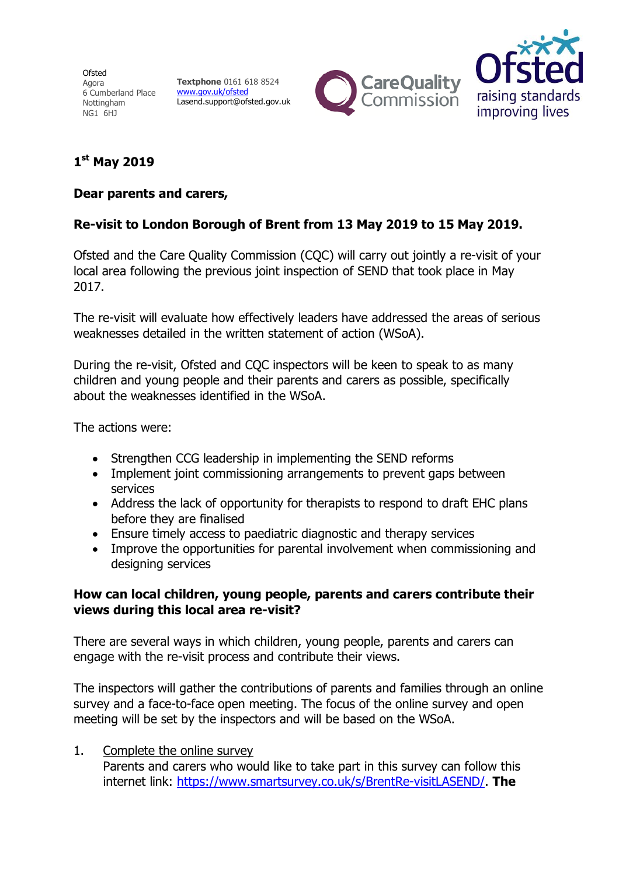Ofsted Agora 6 Cumberland Place Nottingham NG1 6HJ

**Textphone** 0161 618 8524 www.gov.uk/ofsted Lasend.support@ofsted.gov.uk





# **1 st May 2019**

### **Dear parents and carers,**

## **Re-visit to London Borough of Brent from 13 May 2019 to 15 May 2019.**

Ofsted and the Care Quality Commission (CQC) will carry out jointly a re-visit of your local area following the previous joint inspection of SEND that took place in May 2017.

The re-visit will evaluate how effectively leaders have addressed the areas of serious weaknesses detailed in the written statement of action (WSoA).

During the re-visit, Ofsted and CQC inspectors will be keen to speak to as many children and young people and their parents and carers as possible, specifically about the weaknesses identified in the WSoA.

The actions were:

- Strengthen CCG leadership in implementing the SEND reforms
- Implement joint commissioning arrangements to prevent gaps between services
- Address the lack of opportunity for therapists to respond to draft EHC plans before they are finalised
- Ensure timely access to paediatric diagnostic and therapy services
- Improve the opportunities for parental involvement when commissioning and designing services

#### **How can local children, young people, parents and carers contribute their views during this local area re-visit?**

There are several ways in which children, young people, parents and carers can engage with the re-visit process and contribute their views.

The inspectors will gather the contributions of parents and families through an online survey and a face-to-face open meeting. The focus of the online survey and open meeting will be set by the inspectors and will be based on the WSoA.

## 1. Complete the online survey

Parents and carers who would like to take part in this survey can follow this internet link: https://www.smartsurvey.co.uk/s/BrentRe-visitLASEND/. **The**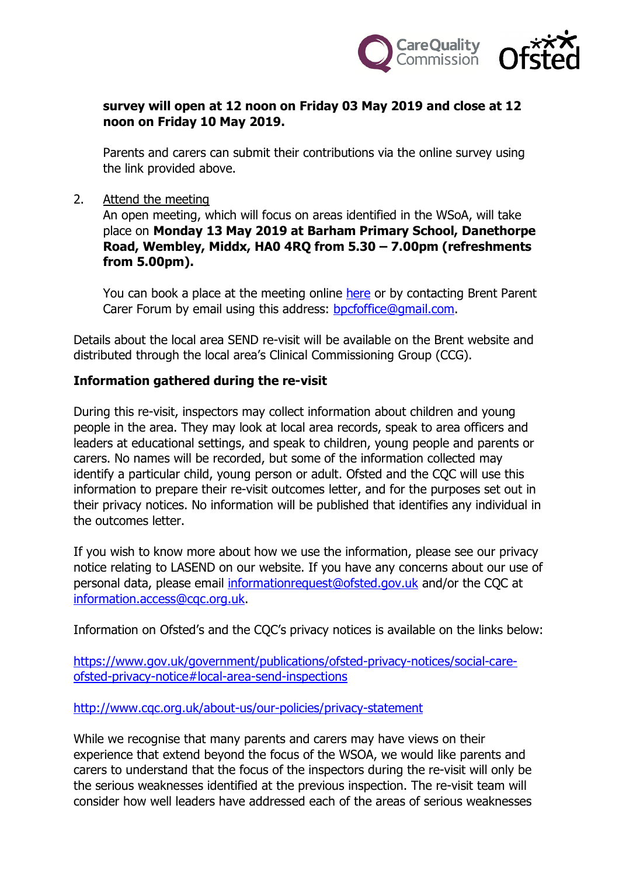

### **survey will open at 12 noon on Friday 03 May 2019 and close at 12 noon on Friday 10 May 2019.**

Parents and carers can submit their contributions via the online survey using the link provided above.

2. Attend the meeting

An open meeting, which will focus on areas identified in the WSoA, will take place on **Monday 13 May 2019 at Barham Primary School, Danethorpe Road, Wembley, Middx, HA0 4RQ from 5.30 – 7.00pm (refreshments from 5.00pm).**

You can book a place at the meeting online here or by contacting Brent Parent Carer Forum by email using this address: bpcfoffice@gmail.com.

Details about the local area SEND re-visit will be available on the Brent website and distributed through the local area's Clinical Commissioning Group (CCG).

#### **Information gathered during the re-visit**

During this re-visit, inspectors may collect information about children and young people in the area. They may look at local area records, speak to area officers and leaders at educational settings, and speak to children, young people and parents or carers. No names will be recorded, but some of the information collected may identify a particular child, young person or adult. Ofsted and the COC will use this information to prepare their re-visit outcomes letter, and for the purposes set out in their privacy notices. No information will be published that identifies any individual in the outcomes letter.

If you wish to know more about how we use the information, please see our privacy notice relating to LASEND on our website. If you have any concerns about our use of personal data, please email informationrequest@ofsted.gov.uk and/or the CQC at information.access@cqc.org.uk.

Information on Ofsted's and the CQC's privacy notices is available on the links below:

https://www.gov.uk/government/publications/ofsted-privacy-notices/social-careofsted-privacy-notice#local-area-send-inspections

http://www.cqc.org.uk/about-us/our-policies/privacy-statement

While we recognise that many parents and carers may have views on their experience that extend beyond the focus of the WSOA, we would like parents and carers to understand that the focus of the inspectors during the re-visit will only be the serious weaknesses identified at the previous inspection. The re-visit team will consider how well leaders have addressed each of the areas of serious weaknesses